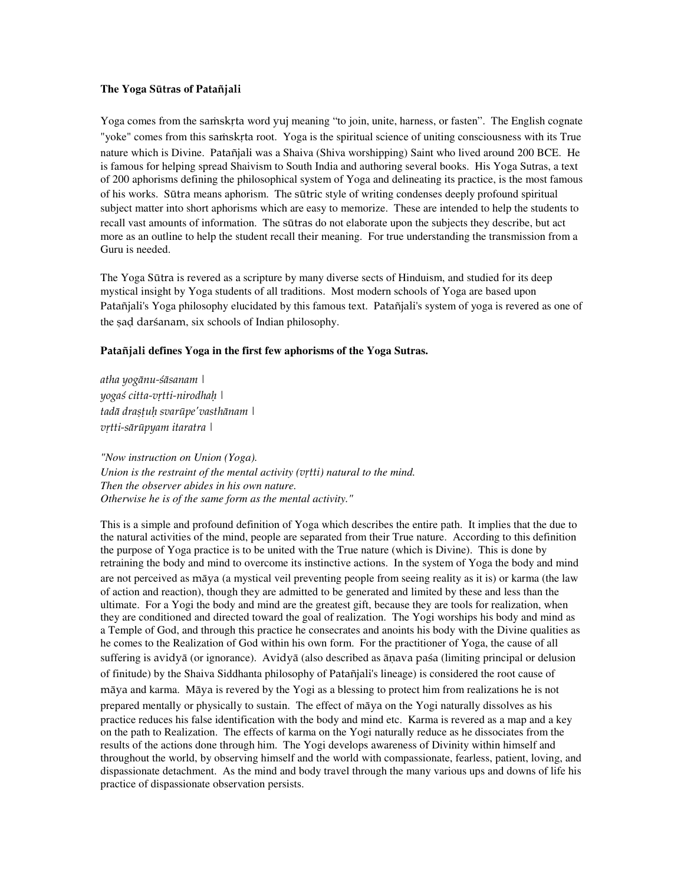## **The Yoga S**ütras **of P**ataïjali

Yoga comes from the samskrta word yuj meaning "to join, unite, harness, or fasten". The English cognate "yoke" comes from this samskrta root. Yoga is the spiritual science of uniting consciousness with its True nature which is Divine. Patañjali was a Shaiva (Shiva worshipping) Saint who lived around 200 BCE. He is famous for helping spread Shaivism to South India and authoring several books. His Yoga Sutras, a text of 200 aphorisms defining the philosophical system of Yoga and delineating its practice, is the most famous of his works. Sütra means aphorism. The sütric style of writing condenses deeply profound spiritual subject matter into short aphorisms which are easy to memorize. These are intended to help the students to recall vast amounts of information. The sütras do not elaborate upon the subjects they describe, but act more as an outline to help the student recall their meaning. For true understanding the transmission from a Guru is needed.

The Yoga Sütra is revered as a scripture by many diverse sects of Hinduism, and studied for its deep mystical insight by Yoga students of all traditions. Most modern schools of Yoga are based upon Patañjali's Yoga philosophy elucidated by this famous text. Patañjali's system of yoga is revered as one of the sad darśanam, six schools of Indian philosophy.

## Patañjali defines Yoga in the first few aphorisms of the Yoga Sutras.

atha yogänu-çäsanam | yogaś citta-vrtti-nirodhah | tadā drașțuh svarūpe'vasthānam | vrtti-sārūpyam itaratra |

*"Now instruction on Union (Yoga). Union is the restraint of the mental activity (vitti) natural to the mind. Then the observer abides in his own nature. Otherwise he is of the same form as the mental activity."* 

This is a simple and profound definition of Yoga which describes the entire path. It implies that the due to the natural activities of the mind, people are separated from their True nature. According to this definition the purpose of Yoga practice is to be united with the True nature (which is Divine). This is done by retraining the body and mind to overcome its instinctive actions. In the system of Yoga the body and mind are not perceived as mäya (a mystical veil preventing people from seeing reality as it is) or karma (the law of action and reaction), though they are admitted to be generated and limited by these and less than the ultimate. For a Yogi the body and mind are the greatest gift, because they are tools for realization, when they are conditioned and directed toward the goal of realization. The Yogi worships his body and mind as a Temple of God, and through this practice he consecrates and anoints his body with the Divine qualities as he comes to the Realization of God within his own form. For the practitioner of Yoga, the cause of all suffering is avidyā (or ignorance). Avidyā (also described as ānava pasa (limiting principal or delusion of finitude) by the Shaiva Siddhanta philosophy of Pataïjali's lineage) is considered the root cause of mäya and karma. Mäya is revered by the Yogi as a blessing to protect him from realizations he is not prepared mentally or physically to sustain. The effect of mäya on the Yogi naturally dissolves as his practice reduces his false identification with the body and mind etc. Karma is revered as a map and a key on the path to Realization. The effects of karma on the Yogi naturally reduce as he dissociates from the results of the actions done through him. The Yogi develops awareness of Divinity within himself and throughout the world, by observing himself and the world with compassionate, fearless, patient, loving, and dispassionate detachment. As the mind and body travel through the many various ups and downs of life his practice of dispassionate observation persists.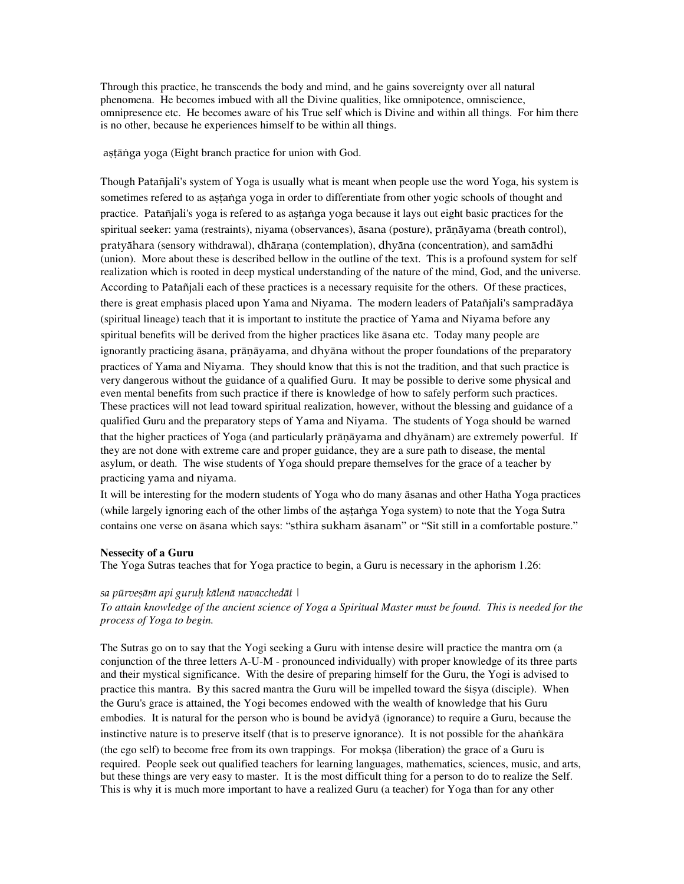Through this practice, he transcends the body and mind, and he gains sovereignty over all natural phenomena. He becomes imbued with all the Divine qualities, like omnipotence, omniscience, omnipresence etc. He becomes aware of his True self which is Divine and within all things. For him there is no other, because he experiences himself to be within all things.

așțănga yoga (Eight branch practice for union with God.

Though Pataïjali's system of Yoga is usually what is meant when people use the word Yoga, his system is sometimes refered to as astanga yoga in order to differentiate from other yogic schools of thought and practice. Patañjali's yoga is refered to as astanga yoga because it lays out eight basic practices for the spiritual seeker: yama (restraints), niyama (observances), āsana (posture), prāņāyama (breath control), pratyāhara (sensory withdrawal), dhāraṇa (contemplation), dhyāna (concentration), and samādhi (union). More about these is described bellow in the outline of the text. This is a profound system for self realization which is rooted in deep mystical understanding of the nature of the mind, God, and the universe. According to Pataïjali each of these practices is a necessary requisite for the others. Of these practices, there is great emphasis placed upon Yama and Niyama. The modern leaders of Pataïjali's sampradäya (spiritual lineage) teach that it is important to institute the practice of Yama and Niyama before any spiritual benefits will be derived from the higher practices like äsana etc. Today many people are ignorantly practicing āsana, prāņāyama, and dhyāna without the proper foundations of the preparatory practices of Yama and Niyama. They should know that this is not the tradition, and that such practice is very dangerous without the guidance of a qualified Guru. It may be possible to derive some physical and even mental benefits from such practice if there is knowledge of how to safely perform such practices. These practices will not lead toward spiritual realization, however, without the blessing and guidance of a qualified Guru and the preparatory steps of Yama and Niyama. The students of Yoga should be warned that the higher practices of Yoga (and particularly prāṇāyama and dhyānam) are extremely powerful. If they are not done with extreme care and proper guidance, they are a sure path to disease, the mental asylum, or death. The wise students of Yoga should prepare themselves for the grace of a teacher by practicing yama and niyama.

It will be interesting for the modern students of Yoga who do many äsanas and other Hatha Yoga practices (while largely ignoring each of the other limbs of the astanga Yoga system) to note that the Yoga Sutra contains one verse on äsana which says: "sthira sukham äsanam" or "Sit still in a comfortable posture."

### **Nessecity of a Guru**

The Yoga Sutras teaches that for Yoga practice to begin, a Guru is necessary in the aphorism 1.26:

### sa pūrveṣām api guruḥ kālenā navacchedāt |

# *To attain knowledge of the ancient science of Yoga a Spiritual Master must be found. This is needed for the process of Yoga to begin.*

The Sutras go on to say that the Yogi seeking a Guru with intense desire will practice the mantra om (a conjunction of the three letters A-U-M - pronounced individually) with proper knowledge of its three parts and their mystical significance. With the desire of preparing himself for the Guru, the Yogi is advised to practice this mantra. By this sacred mantra the Guru will be impelled toward the sisya (disciple). When the Guru's grace is attained, the Yogi becomes endowed with the wealth of knowledge that his Guru embodies. It is natural for the person who is bound be avidyä (ignorance) to require a Guru, because the instinctive nature is to preserve itself (that is to preserve ignorance). It is not possible for the ahankara (the ego self) to become free from its own trappings. For mokṣa (liberation) the grace of a Guru is required. People seek out qualified teachers for learning languages, mathematics, sciences, music, and arts, but these things are very easy to master. It is the most difficult thing for a person to do to realize the Self. This is why it is much more important to have a realized Guru (a teacher) for Yoga than for any other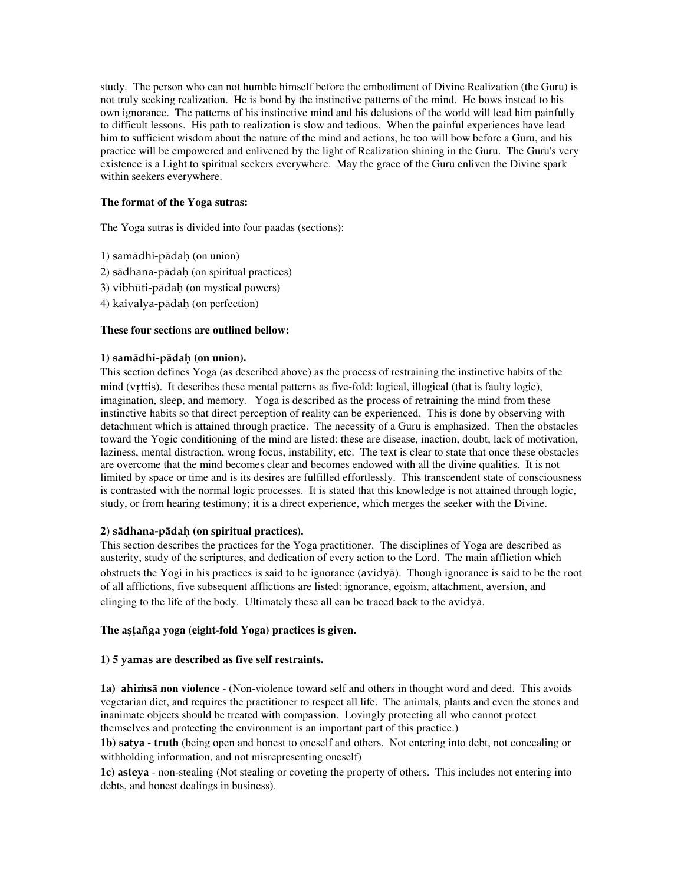study. The person who can not humble himself before the embodiment of Divine Realization (the Guru) is not truly seeking realization. He is bond by the instinctive patterns of the mind. He bows instead to his own ignorance. The patterns of his instinctive mind and his delusions of the world will lead him painfully to difficult lessons. His path to realization is slow and tedious. When the painful experiences have lead him to sufficient wisdom about the nature of the mind and actions, he too will bow before a Guru, and his practice will be empowered and enlivened by the light of Realization shining in the Guru. The Guru's very existence is a Light to spiritual seekers everywhere. May the grace of the Guru enliven the Divine spark within seekers everywhere.

# **The format of the Yoga sutras:**

The Yoga sutras is divided into four paadas (sections):

- 1) samädhi-pädaù (on union)
- 2) sädhana-pädaù (on spiritual practices)
- 3) vibhüti-pädaù (on mystical powers)
- 4) kaivalya-pädaù (on perfection)

## **These four sections are outlined bellow:**

## **1)** samädhi-pädaù **(on union).**

This section defines Yoga (as described above) as the process of restraining the instinctive habits of the mind (vrttis). It describes these mental patterns as five-fold: logical, illogical (that is faulty logic), imagination, sleep, and memory. Yoga is described as the process of retraining the mind from these instinctive habits so that direct perception of reality can be experienced. This is done by observing with detachment which is attained through practice. The necessity of a Guru is emphasized. Then the obstacles toward the Yogic conditioning of the mind are listed: these are disease, inaction, doubt, lack of motivation, laziness, mental distraction, wrong focus, instability, etc. The text is clear to state that once these obstacles are overcome that the mind becomes clear and becomes endowed with all the divine qualities. It is not limited by space or time and is its desires are fulfilled effortlessly. This transcendent state of consciousness is contrasted with the normal logic processes. It is stated that this knowledge is not attained through logic, study, or from hearing testimony; it is a direct experience, which merges the seeker with the Divine.

# **2)** sädhana-pädaù **(on spiritual practices).**

This section describes the practices for the Yoga practitioner. The disciplines of Yoga are described as austerity, study of the scriptures, and dedication of every action to the Lord. The main affliction which obstructs the Yogi in his practices is said to be ignorance (avidyä). Though ignorance is said to be the root of all afflictions, five subsequent afflictions are listed: ignorance, egoism, attachment, aversion, and clinging to the life of the body. Ultimately these all can be traced back to the avidyä.

### The aștañga yoga (eight-fold Yoga) practices is given.

# **1) 5** yamas **are described as five self restraints.**

**1a) ahimsa non violence** - (Non-violence toward self and others in thought word and deed. This avoids vegetarian diet, and requires the practitioner to respect all life. The animals, plants and even the stones and inanimate objects should be treated with compassion. Lovingly protecting all who cannot protect themselves and protecting the environment is an important part of this practice.)

**1b)** satya **- truth** (being open and honest to oneself and others. Not entering into debt, not concealing or withholding information, and not misrepresenting oneself)

**1c)** asteya - non-stealing (Not stealing or coveting the property of others. This includes not entering into debts, and honest dealings in business).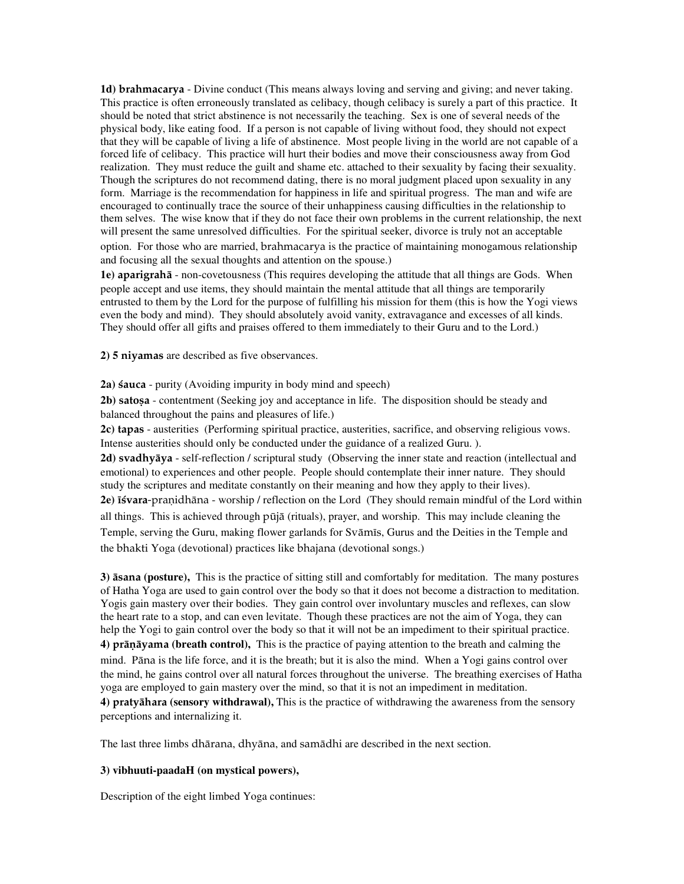**1d)** brahmacarya - Divine conduct (This means always loving and serving and giving; and never taking. This practice is often erroneously translated as celibacy, though celibacy is surely a part of this practice. It should be noted that strict abstinence is not necessarily the teaching. Sex is one of several needs of the physical body, like eating food. If a person is not capable of living without food, they should not expect that they will be capable of living a life of abstinence. Most people living in the world are not capable of a forced life of celibacy. This practice will hurt their bodies and move their consciousness away from God realization. They must reduce the guilt and shame etc. attached to their sexuality by facing their sexuality. Though the scriptures do not recommend dating, there is no moral judgment placed upon sexuality in any form. Marriage is the recommendation for happiness in life and spiritual progress. The man and wife are encouraged to continually trace the source of their unhappiness causing difficulties in the relationship to them selves. The wise know that if they do not face their own problems in the current relationship, the next will present the same unresolved difficulties. For the spiritual seeker, divorce is truly not an acceptable option. For those who are married, brahmacarya is the practice of maintaining monogamous relationship and focusing all the sexual thoughts and attention on the spouse.)

**1e)** aparigrahä - non-covetousness (This requires developing the attitude that all things are Gods. When people accept and use items, they should maintain the mental attitude that all things are temporarily entrusted to them by the Lord for the purpose of fulfilling his mission for them (this is how the Yogi views even the body and mind). They should absolutely avoid vanity, extravagance and excesses of all kinds. They should offer all gifts and praises offered to them immediately to their Guru and to the Lord.)

**2) 5** niyamas are described as five observances.

2a) **sauca** - purity (Avoiding impurity in body mind and speech)

**2b) satosa** - contentment (Seeking joy and acceptance in life. The disposition should be steady and balanced throughout the pains and pleasures of life.)

**2c)** tapas - austerities (Performing spiritual practice, austerities, sacrifice, and observing religious vows. Intense austerities should only be conducted under the guidance of a realized Guru. ).

**2d)** svadhyäya - self-reflection / scriptural study (Observing the inner state and reaction (intellectual and emotional) to experiences and other people. People should contemplate their inner nature. They should study the scriptures and meditate constantly on their meaning and how they apply to their lives). 2e) **isvara-pranidh**āna - worship / reflection on the Lord (They should remain mindful of the Lord within all things. This is achieved through püjä (rituals), prayer, and worship. This may include cleaning the Temple, serving the Guru, making flower garlands for Svämés, Gurus and the Deities in the Temple and the bhakti Yoga (devotional) practices like bhajana (devotional songs.)

**3)** äsana **(posture),** This is the practice of sitting still and comfortably for meditation. The many postures of Hatha Yoga are used to gain control over the body so that it does not become a distraction to meditation. Yogis gain mastery over their bodies. They gain control over involuntary muscles and reflexes, can slow the heart rate to a stop, and can even levitate. Though these practices are not the aim of Yoga, they can help the Yogi to gain control over the body so that it will not be an impediment to their spiritual practice. **4)** präëäyama **(breath control),** This is the practice of paying attention to the breath and calming the mind. Päna is the life force, and it is the breath; but it is also the mind. When a Yogi gains control over the mind, he gains control over all natural forces throughout the universe. The breathing exercises of Hatha yoga are employed to gain mastery over the mind, so that it is not an impediment in meditation.

**4)** pratyähara **(sensory withdrawal),** This is the practice of withdrawing the awareness from the sensory perceptions and internalizing it.

The last three limbs dhärana, dhyäna, and samädhi are described in the next section.

#### **3) vibhuuti-paadaH (on mystical powers),**

Description of the eight limbed Yoga continues: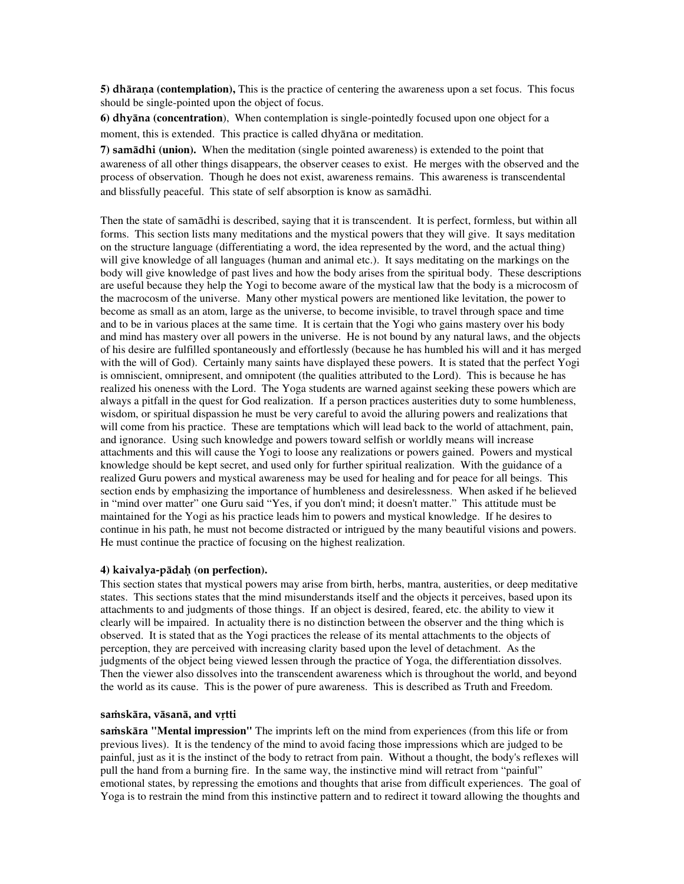**5) dhārana (contemplation),** This is the practice of centering the awareness upon a set focus. This focus should be single-pointed upon the object of focus.

**6)** dhyäna **(concentration**), When contemplation is single-pointedly focused upon one object for a moment, this is extended. This practice is called dhyäna or meditation.

**7)** samädhi **(union).** When the meditation (single pointed awareness) is extended to the point that awareness of all other things disappears, the observer ceases to exist. He merges with the observed and the process of observation. Though he does not exist, awareness remains. This awareness is transcendental and blissfully peaceful. This state of self absorption is know as samädhi.

Then the state of samädhi is described, saying that it is transcendent. It is perfect, formless, but within all forms. This section lists many meditations and the mystical powers that they will give. It says meditation on the structure language (differentiating a word, the idea represented by the word, and the actual thing) will give knowledge of all languages (human and animal etc.). It says meditating on the markings on the body will give knowledge of past lives and how the body arises from the spiritual body. These descriptions are useful because they help the Yogi to become aware of the mystical law that the body is a microcosm of the macrocosm of the universe. Many other mystical powers are mentioned like levitation, the power to become as small as an atom, large as the universe, to become invisible, to travel through space and time and to be in various places at the same time. It is certain that the Yogi who gains mastery over his body and mind has mastery over all powers in the universe. He is not bound by any natural laws, and the objects of his desire are fulfilled spontaneously and effortlessly (because he has humbled his will and it has merged with the will of God). Certainly many saints have displayed these powers. It is stated that the perfect Yogi is omniscient, omnipresent, and omnipotent (the qualities attributed to the Lord). This is because he has realized his oneness with the Lord. The Yoga students are warned against seeking these powers which are always a pitfall in the quest for God realization. If a person practices austerities duty to some humbleness, wisdom, or spiritual dispassion he must be very careful to avoid the alluring powers and realizations that will come from his practice. These are temptations which will lead back to the world of attachment, pain, and ignorance. Using such knowledge and powers toward selfish or worldly means will increase attachments and this will cause the Yogi to loose any realizations or powers gained. Powers and mystical knowledge should be kept secret, and used only for further spiritual realization. With the guidance of a realized Guru powers and mystical awareness may be used for healing and for peace for all beings. This section ends by emphasizing the importance of humbleness and desirelessness. When asked if he believed in "mind over matter" one Guru said "Yes, if you don't mind; it doesn't matter." This attitude must be maintained for the Yogi as his practice leads him to powers and mystical knowledge. If he desires to continue in his path, he must not become distracted or intrigued by the many beautiful visions and powers. He must continue the practice of focusing on the highest realization.

## **4)** kaivalya-pädaù **(on perfection).**

This section states that mystical powers may arise from birth, herbs, mantra, austerities, or deep meditative states. This sections states that the mind misunderstands itself and the objects it perceives, based upon its attachments to and judgments of those things. If an object is desired, feared, etc. the ability to view it clearly will be impaired. In actuality there is no distinction between the observer and the thing which is observed. It is stated that as the Yogi practices the release of its mental attachments to the objects of perception, they are perceived with increasing clarity based upon the level of detachment. As the judgments of the object being viewed lessen through the practice of Yoga, the differentiation dissolves. Then the viewer also dissolves into the transcendent awareness which is throughout the world, and beyond the world as its cause. This is the power of pure awareness. This is described as Truth and Freedom.

#### samskāra, vāsanā, and vrtti

samskāra "Mental impression" The imprints left on the mind from experiences (from this life or from previous lives). It is the tendency of the mind to avoid facing those impressions which are judged to be painful, just as it is the instinct of the body to retract from pain. Without a thought, the body's reflexes will pull the hand from a burning fire. In the same way, the instinctive mind will retract from "painful" emotional states, by repressing the emotions and thoughts that arise from difficult experiences. The goal of Yoga is to restrain the mind from this instinctive pattern and to redirect it toward allowing the thoughts and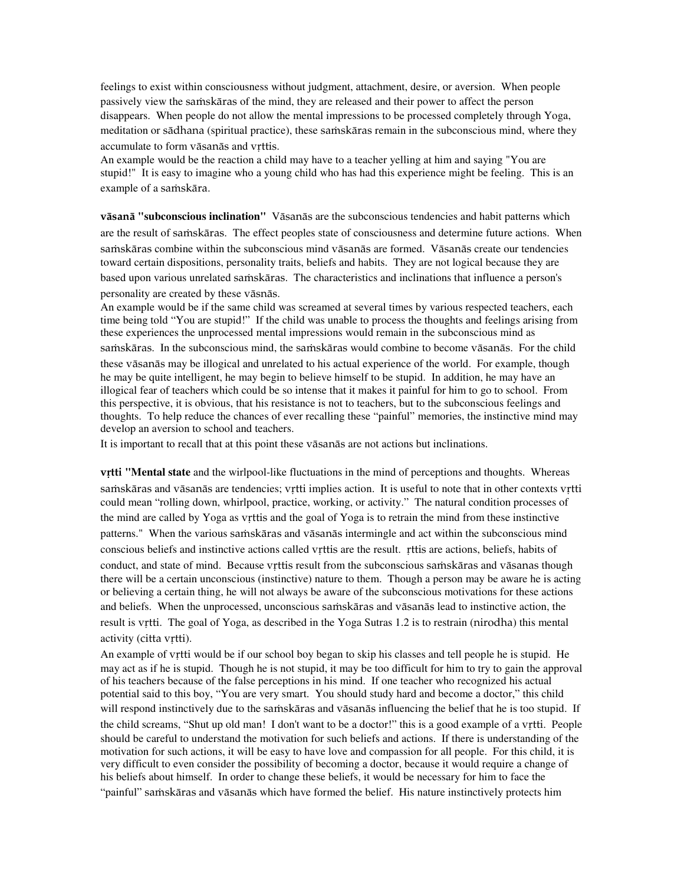feelings to exist within consciousness without judgment, attachment, desire, or aversion. When people passively view the samskāras of the mind, they are released and their power to affect the person disappears. When people do not allow the mental impressions to be processed completely through Yoga, meditation or sādhana (spiritual practice), these samskāras remain in the subconscious mind, where they accumulate to form vāsanās and vrttis.

An example would be the reaction a child may have to a teacher yelling at him and saying "You are stupid!" It is easy to imagine who a young child who has had this experience might be feeling. This is an example of a samskāra.

väsanä **"subconscious inclination"** Väsanäs are the subconscious tendencies and habit patterns which are the result of samskāras. The effect peoples state of consciousness and determine future actions. When samskāras combine within the subconscious mind vāsanās are formed. Vāsanās create our tendencies toward certain dispositions, personality traits, beliefs and habits. They are not logical because they are based upon various unrelated samskāras. The characteristics and inclinations that influence a person's personality are created by these väsnäs.

An example would be if the same child was screamed at several times by various respected teachers, each time being told "You are stupid!" If the child was unable to process the thoughts and feelings arising from these experiences the unprocessed mental impressions would remain in the subconscious mind as samskāras. In the subconscious mind, the samskāras would combine to become vāsanās. For the child these väsanäs may be illogical and unrelated to his actual experience of the world. For example, though he may be quite intelligent, he may begin to believe himself to be stupid. In addition, he may have an illogical fear of teachers which could be so intense that it makes it painful for him to go to school. From this perspective, it is obvious, that his resistance is not to teachers, but to the subconscious feelings and thoughts. To help reduce the chances of ever recalling these "painful" memories, the instinctive mind may develop an aversion to school and teachers.

It is important to recall that at this point these väsanäs are not actions but inclinations.

v<sub>rtti</sub> "Mental state and the wirlpool-like fluctuations in the mind of perceptions and thoughts. Whereas samskāras and vāsanās are tendencies; vrtti implies action. It is useful to note that in other contexts vrtti could mean "rolling down, whirlpool, practice, working, or activity." The natural condition processes of the mind are called by Yoga as vrttis and the goal of Yoga is to retrain the mind from these instinctive patterns." When the various samskāras and vāsanās intermingle and act within the subconscious mind conscious beliefs and instinctive actions called vrttis are the result. rttis are actions, beliefs, habits of conduct, and state of mind. Because vrttis result from the subconscious samskāras and vāsanas though there will be a certain unconscious (instinctive) nature to them. Though a person may be aware he is acting or believing a certain thing, he will not always be aware of the subconscious motivations for these actions and beliefs. When the unprocessed, unconscious samskāras and vāsanās lead to instinctive action, the result is vrtti. The goal of Yoga, as described in the Yoga Sutras 1.2 is to restrain (nirodha) this mental activity (citta vrtti).

An example of vrtti would be if our school boy began to skip his classes and tell people he is stupid. He may act as if he is stupid. Though he is not stupid, it may be too difficult for him to try to gain the approval of his teachers because of the false perceptions in his mind. If one teacher who recognized his actual potential said to this boy, "You are very smart. You should study hard and become a doctor," this child will respond instinctively due to the samskaras and väsanäs influencing the belief that he is too stupid. If the child screams, "Shut up old man! I don't want to be a doctor!" this is a good example of a vrtti. People should be careful to understand the motivation for such beliefs and actions. If there is understanding of the motivation for such actions, it will be easy to have love and compassion for all people. For this child, it is very difficult to even consider the possibility of becoming a doctor, because it would require a change of his beliefs about himself. In order to change these beliefs, it would be necessary for him to face the "painful" samskāras and vāsanās which have formed the belief. His nature instinctively protects him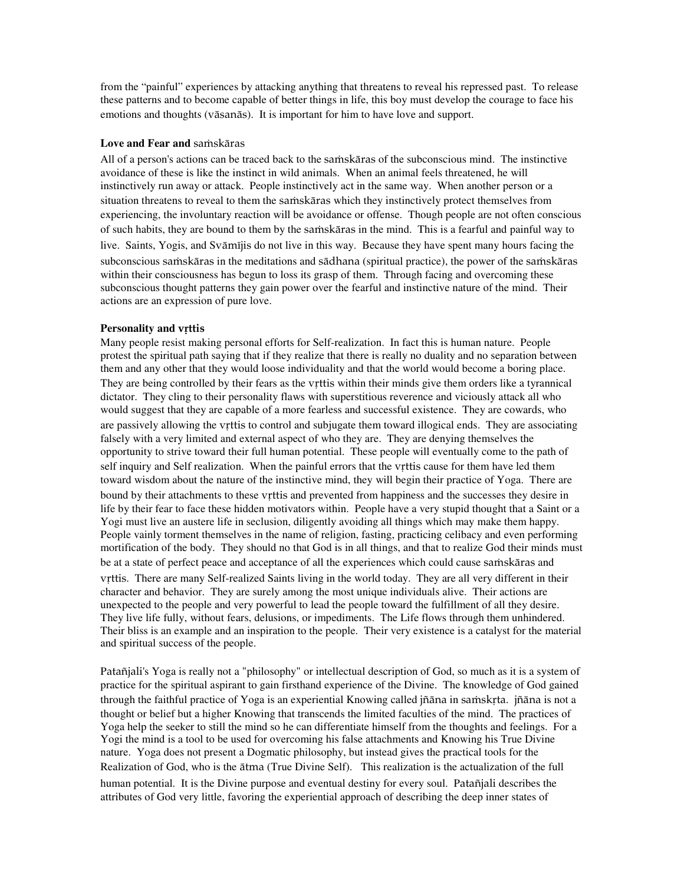from the "painful" experiences by attacking anything that threatens to reveal his repressed past. To release these patterns and to become capable of better things in life, this boy must develop the courage to face his emotions and thoughts (väsanäs). It is important for him to have love and support.

## **Love and Fear and samskäras**

All of a person's actions can be traced back to the samskaras of the subconscious mind. The instinctive avoidance of these is like the instinct in wild animals. When an animal feels threatened, he will instinctively run away or attack. People instinctively act in the same way. When another person or a situation threatens to reveal to them the samskaras which they instinctively protect themselves from experiencing, the involuntary reaction will be avoidance or offense. Though people are not often conscious of such habits, they are bound to them by the samskaras in the mind. This is a fearful and painful way to live. Saints, Yogis, and Svāmījis do not live in this way. Because they have spent many hours facing the subconscious samskāras in the meditations and sādhana (spiritual practice), the power of the samskāras within their consciousness has begun to loss its grasp of them. Through facing and overcoming these subconscious thought patterns they gain power over the fearful and instinctive nature of the mind. Their actions are an expression of pure love.

### **Personality and vrttis**

Many people resist making personal efforts for Self-realization. In fact this is human nature. People protest the spiritual path saying that if they realize that there is really no duality and no separation between them and any other that they would loose individuality and that the world would become a boring place. They are being controlled by their fears as the vrttis within their minds give them orders like a tyrannical dictator. They cling to their personality flaws with superstitious reverence and viciously attack all who would suggest that they are capable of a more fearless and successful existence. They are cowards, who are passively allowing the vrttis to control and subjugate them toward illogical ends. They are associating falsely with a very limited and external aspect of who they are. They are denying themselves the opportunity to strive toward their full human potential. These people will eventually come to the path of self inquiry and Self realization. When the painful errors that the vrttis cause for them have led them toward wisdom about the nature of the instinctive mind, they will begin their practice of Yoga. There are bound by their attachments to these vrttis and prevented from happiness and the successes they desire in life by their fear to face these hidden motivators within. People have a very stupid thought that a Saint or a Yogi must live an austere life in seclusion, diligently avoiding all things which may make them happy. People vainly torment themselves in the name of religion, fasting, practicing celibacy and even performing mortification of the body. They should no that God is in all things, and that to realize God their minds must be at a state of perfect peace and acceptance of all the experiences which could cause samskaras and vrttis. There are many Self-realized Saints living in the world today. They are all very different in their character and behavior. They are surely among the most unique individuals alive. Their actions are unexpected to the people and very powerful to lead the people toward the fulfillment of all they desire. They live life fully, without fears, delusions, or impediments. The Life flows through them unhindered. Their bliss is an example and an inspiration to the people. Their very existence is a catalyst for the material and spiritual success of the people.

Patañjali's Yoga is really not a "philosophy" or intellectual description of God, so much as it is a system of practice for the spiritual aspirant to gain firsthand experience of the Divine. The knowledge of God gained through the faithful practice of Yoga is an experiential Knowing called jñāna in samskrta. jñāna is not a thought or belief but a higher Knowing that transcends the limited faculties of the mind. The practices of Yoga help the seeker to still the mind so he can differentiate himself from the thoughts and feelings. For a Yogi the mind is a tool to be used for overcoming his false attachments and Knowing his True Divine nature. Yoga does not present a Dogmatic philosophy, but instead gives the practical tools for the Realization of God, who is the ätma (True Divine Self). This realization is the actualization of the full human potential. It is the Divine purpose and eventual destiny for every soul. Patañjali describes the attributes of God very little, favoring the experiential approach of describing the deep inner states of